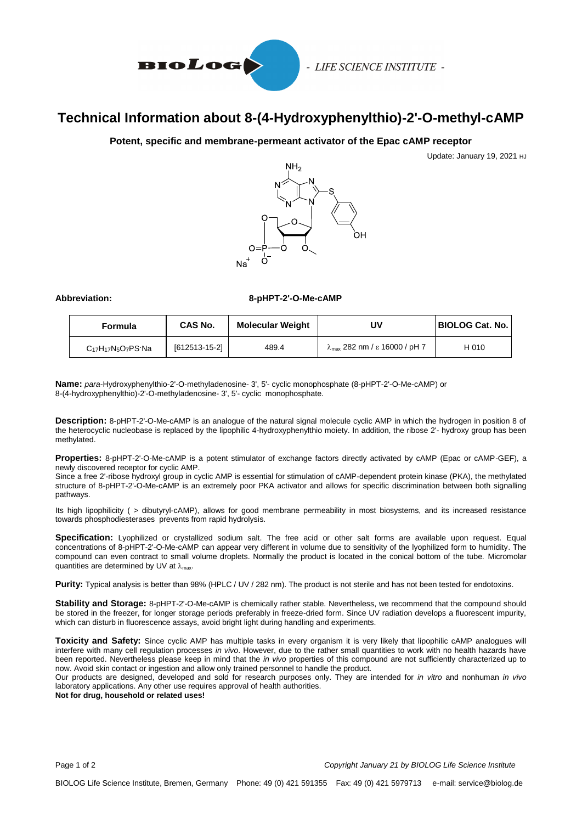

- LIFE SCIENCE INSTITUTE -

# **Technical Information about 8-(4-Hydroxyphenylthio)-2'-O-methyl-cAMP**

## **Potent, specific and membrane-permeant activator of the Epac cAMP receptor**

Update: January 19, 2021 HJ



### **Abbreviation: 8-pHPT-2'-O-Me-cAMP**

| Formula                                                             | <b>CAS No.</b> | <b>Molecular Weight</b> | J٧                                             | <b>BIOLOG Cat. No.</b> |
|---------------------------------------------------------------------|----------------|-------------------------|------------------------------------------------|------------------------|
| C <sub>17</sub> H <sub>17</sub> N <sub>5</sub> O <sub>7</sub> PS·Na | [612513-15-2]  | 489.4                   | $\lambda_{\text{max}}$ 282 nm / ε 16000 / pH 7 | H 010                  |

**Name:** *para*-Hydroxyphenylthio-2'-O-methyladenosine- 3', 5'- cyclic monophosphate (8-pHPT-2'-O-Me-cAMP) or 8-(4-hydroxyphenylthio)-2'-O-methyladenosine- 3', 5'- cyclic monophosphate.

**Description:** 8-pHPT-2'-O-Me-cAMP is an analogue of the natural signal molecule cyclic AMP in which the hydrogen in position 8 of the heterocyclic nucleobase is replaced by the lipophilic 4-hydroxyphenylthio moiety. In addition, the ribose 2'- hydroxy group has been methylated.

**Properties:** 8-pHPT-2'-O-Me-cAMP is a potent stimulator of exchange factors directly activated by cAMP (Epac or cAMP-GEF), a newly discovered receptor for cyclic AMP.

Since a free 2'-ribose hydroxyl group in cyclic AMP is essential for stimulation of cAMP-dependent protein kinase (PKA), the methylated structure of 8-pHPT-2'-O-Me-cAMP is an extremely poor PKA activator and allows for specific discrimination between both signalling pathways.

Its high lipophilicity ( > dibutyryl-cAMP), allows for good membrane permeability in most biosystems, and its increased resistance towards phosphodiesterases prevents from rapid hydrolysis.

**Specification:** Lyophilized or crystallized sodium salt. The free acid or other salt forms are available upon request. Equal concentrations of 8-pHPT-2'-O-Me-cAMP can appear very different in volume due to sensitivity of the lyophilized form to humidity. The compound can even contract to small volume droplets. Normally the product is located in the conical bottom of the tube. Micromolar quantities are determined by UV at  $\lambda_{\text{max}}$ .

**Purity:** Typical analysis is better than 98% (HPLC / UV / 282 nm). The product is not sterile and has not been tested for endotoxins.

**Stability and Storage:** 8-pHPT-2'-O-Me-cAMP is chemically rather stable. Nevertheless, we recommend that the compound should be stored in the freezer, for longer storage periods preferably in freeze-dried form. Since UV radiation develops a fluorescent impurity, which can disturb in fluorescence assays, avoid bright light during handling and experiments.

**Toxicity and Safety:** Since cyclic AMP has multiple tasks in every organism it is very likely that lipophilic cAMP analogues will interfere with many cell regulation processes *in vivo*. However, due to the rather small quantities to work with no health hazards have been reported. Nevertheless please keep in mind that the *in vivo* properties of this compound are not sufficiently characterized up to now. Avoid skin contact or ingestion and allow only trained personnel to handle the product.

Our products are designed, developed and sold for research purposes only. They are intended for *in vitro* and nonhuman *in vivo* laboratory applications. Any other use requires approval of health authorities.

**Not for drug, household or related uses!**

Page 1 of 2*Copyright January 21 by BIOLOG Life Science Institute*